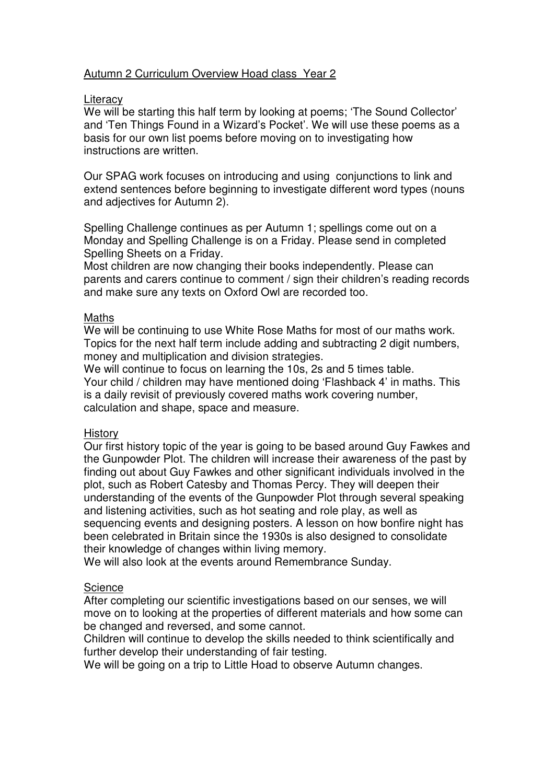# Autumn 2 Curriculum Overview Hoad class Year 2

### **Literacy**

We will be starting this half term by looking at poems; 'The Sound Collector' and 'Ten Things Found in a Wizard's Pocket'. We will use these poems as a basis for our own list poems before moving on to investigating how instructions are written.

Our SPAG work focuses on introducing and using conjunctions to link and extend sentences before beginning to investigate different word types (nouns and adjectives for Autumn 2).

Spelling Challenge continues as per Autumn 1; spellings come out on a Monday and Spelling Challenge is on a Friday. Please send in completed Spelling Sheets on a Friday.

Most children are now changing their books independently. Please can parents and carers continue to comment / sign their children's reading records and make sure any texts on Oxford Owl are recorded too.

### Maths

We will be continuing to use White Rose Maths for most of our maths work. Topics for the next half term include adding and subtracting 2 digit numbers, money and multiplication and division strategies.

We will continue to focus on learning the 10s, 2s and 5 times table. Your child / children may have mentioned doing 'Flashback 4' in maths. This is a daily revisit of previously covered maths work covering number, calculation and shape, space and measure.

#### **History**

Our first history topic of the year is going to be based around Guy Fawkes and the Gunpowder Plot. The children will increase their awareness of the past by finding out about Guy Fawkes and other significant individuals involved in the plot, such as Robert Catesby and Thomas Percy. They will deepen their understanding of the events of the Gunpowder Plot through several speaking and listening activities, such as hot seating and role play, as well as sequencing events and designing posters. A lesson on how bonfire night has been celebrated in Britain since the 1930s is also designed to consolidate their knowledge of changes within living memory.

We will also look at the events around Remembrance Sunday.

## **Science**

After completing our scientific investigations based on our senses, we will move on to looking at the properties of different materials and how some can be changed and reversed, and some cannot.

Children will continue to develop the skills needed to think scientifically and further develop their understanding of fair testing.

We will be going on a trip to Little Hoad to observe Autumn changes.